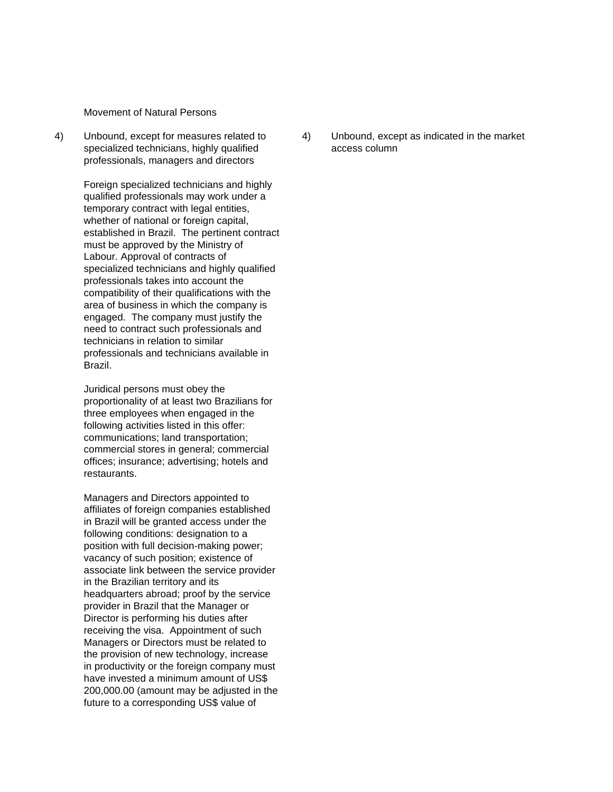Movement of Natural Persons

specialized technicians, highly qualified access column professionals, managers and directors

Foreign specialized technicians and highly qualified professionals may work under a temporary contract with legal entities, whether of national or foreign capital, established in Brazil. The pertinent contract must be approved by the Ministry of Labour. Approval of contracts of specialized technicians and highly qualified professionals takes into account the compatibility of their qualifications with the area of business in which the company is engaged. The company must justify the need to contract such professionals and technicians in relation to similar professionals and technicians available in Brazil.

Juridical persons must obey the proportionality of at least two Brazilians for three employees when engaged in the following activities listed in this offer: communications; land transportation; commercial stores in general; commercial offices; insurance; advertising; hotels and restaurants.

Managers and Directors appointed to affiliates of foreign companies established in Brazil will be granted access under the following conditions: designation to a position with full decision-making power; vacancy of such position; existence of associate link between the service provider in the Brazilian territory and its headquarters abroad; proof by the service provider in Brazil that the Manager or Director is performing his duties after receiving the visa. Appointment of such Managers or Directors must be related to the provision of new technology, increase in productivity or the foreign company must have invested a minimum amount of US\$ 200,000.00 (amount may be adjusted in the future to a corresponding US\$ value of

4) Unbound, except for measures related to 4) Unbound, except as indicated in the market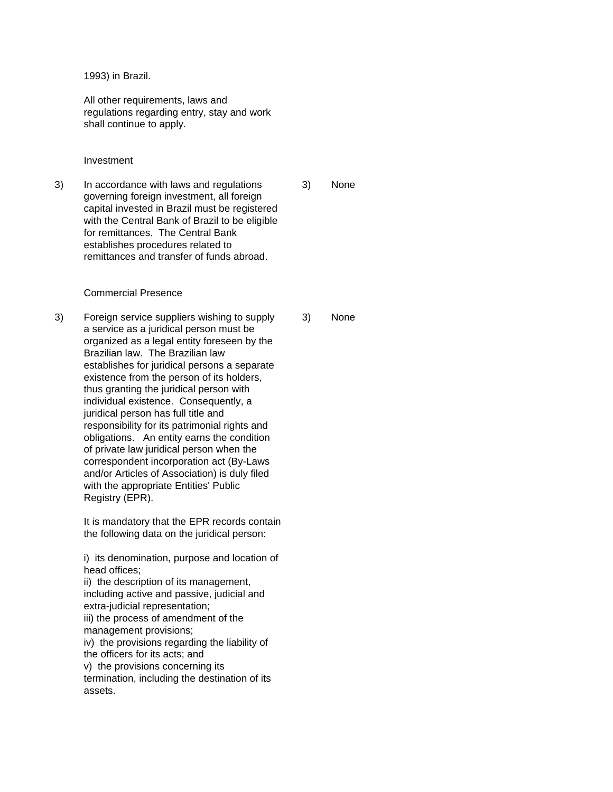1993) in Brazil.

All other requirements, laws and regulations regarding entry, stay and work shall continue to apply.

Investment

3) In accordance with laws and regulations 3) None governing foreign investment, all foreign capital invested in Brazil must be registered with the Central Bank of Brazil to be eligible for remittances. The Central Bank establishes procedures related to remittances and transfer of funds abroad.

## Commercial Presence

3) Foreign service suppliers wishing to supply 3) None a service as a juridical person must be organized as a legal entity foreseen by the Brazilian law. The Brazilian law establishes for juridical persons a separate existence from the person of its holders, thus granting the juridical person with individual existence. Consequently, a juridical person has full title and responsibility for its patrimonial rights and obligations. An entity earns the condition of private law juridical person when the correspondent incorporation act (By-Laws and/or Articles of Association) is duly filed with the appropriate Entities' Public Registry (EPR).

> It is mandatory that the EPR records contain the following data on the juridical person:

> i) its denomination, purpose and location of head offices;

ii) the description of its management, including active and passive, judicial and extra-judicial representation; iii) the process of amendment of the management provisions; iv) the provisions regarding the liability of

the officers for its acts; and

v) the provisions concerning its

termination, including the destination of its assets.